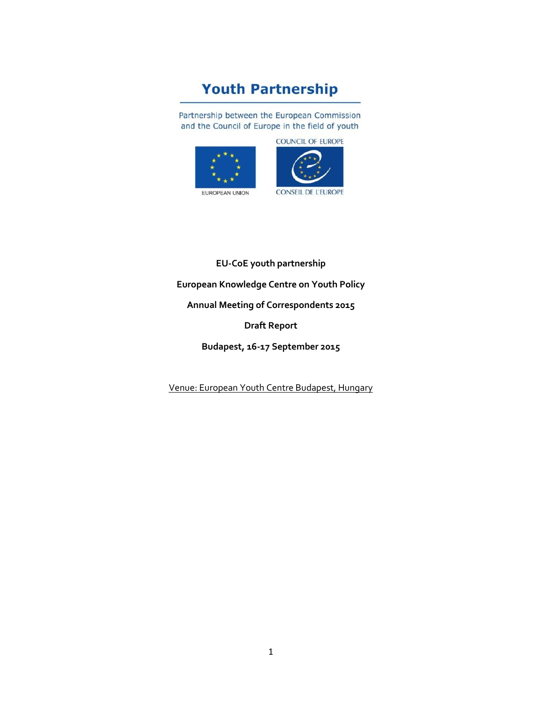# **Youth Partnership**

Partnership between the European Commission and the Council of Europe in the field of youth

**COUNCIL OF EUROPE** 





**EU-CoE youth partnership European Knowledge Centre on Youth Policy Annual Meeting of Correspondents 2015 Draft Report Budapest, 16-17 September 2015**

Venue: European Youth Centre Budapest, Hungary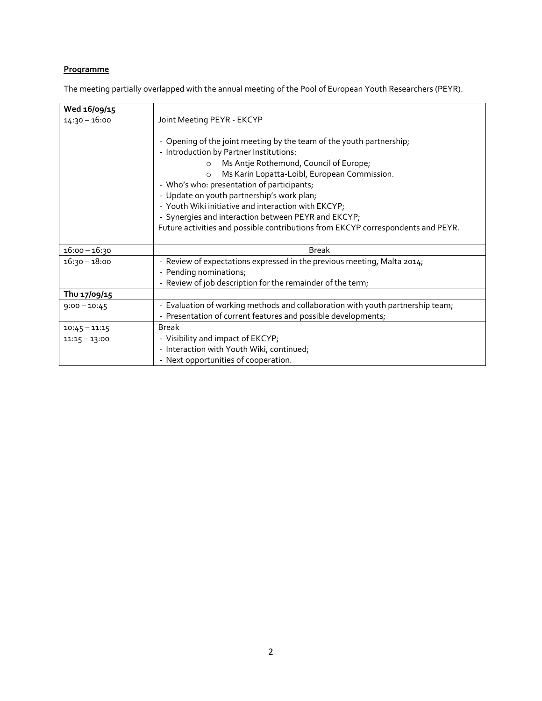# **Programme**

The meeting partially overlapped with the annual meeting of the Pool of European Youth Researchers (PEYR).

| Wed 16/09/15    |                                                                                                                                                                                                                                                                                                                                                                                                                                                                                                                               |
|-----------------|-------------------------------------------------------------------------------------------------------------------------------------------------------------------------------------------------------------------------------------------------------------------------------------------------------------------------------------------------------------------------------------------------------------------------------------------------------------------------------------------------------------------------------|
| 14:30 – 16:00   | Joint Meeting PEYR - EKCYP                                                                                                                                                                                                                                                                                                                                                                                                                                                                                                    |
|                 | - Opening of the joint meeting by the team of the youth partnership;<br>- Introduction by Partner Institutions:<br>Ms Antje Rothemund, Council of Europe;<br>$\circ$<br>Ms Karin Lopatta-Loibl, European Commission.<br>$\circ$<br>- Who's who: presentation of participants;<br>- Update on youth partnership's work plan;<br>- Youth Wiki initiative and interaction with EKCYP;<br>- Synergies and interaction between PEYR and EKCYP;<br>Future activities and possible contributions from EKCYP correspondents and PEYR. |
| $16:00 - 16:30$ | <b>Break</b>                                                                                                                                                                                                                                                                                                                                                                                                                                                                                                                  |
| $16:30 - 18:00$ | - Review of expectations expressed in the previous meeting, Malta 2014;<br>- Pending nominations;<br>- Review of job description for the remainder of the term;                                                                                                                                                                                                                                                                                                                                                               |
| Thu 17/09/15    |                                                                                                                                                                                                                                                                                                                                                                                                                                                                                                                               |
| $9:00 - 10:45$  | - Evaluation of working methods and collaboration with youth partnership team;<br>- Presentation of current features and possible developments;                                                                                                                                                                                                                                                                                                                                                                               |
| $10:45 - 11:15$ | <b>Break</b>                                                                                                                                                                                                                                                                                                                                                                                                                                                                                                                  |
| $11:15 - 13:00$ | - Visibility and impact of EKCYP;<br>- Interaction with Youth Wiki, continued;<br>- Next opportunities of cooperation.                                                                                                                                                                                                                                                                                                                                                                                                        |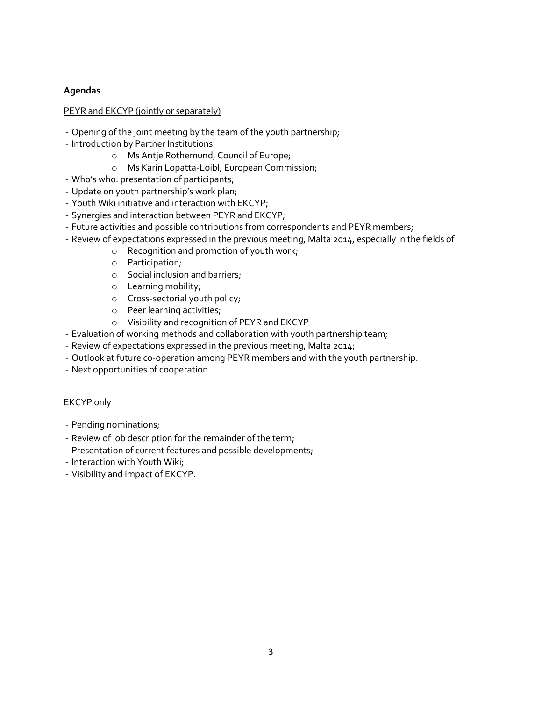## **Agendas**

## PEYR and EKCYP (jointly or separately)

- Opening of the joint meeting by the team of the youth partnership;
- Introduction by Partner Institutions:
	- o Ms Antje Rothemund, Council of Europe;
	- o Ms Karin Lopatta-Loibl, European Commission;
- Who's who: presentation of participants;
- Update on youth partnership's work plan;
- Youth Wiki initiative and interaction with EKCYP;
- Synergies and interaction between PEYR and EKCYP;
- Future activities and possible contributions from correspondents and PEYR members;
- Review of expectations expressed in the previous meeting, Malta 2014, especially in the fields of
	- o Recognition and promotion of youth work;
	- o Participation;
	- o Social inclusion and barriers;
	- o Learning mobility;
	- o Cross-sectorial youth policy;
	- o Peer learning activities;
	- o Visibility and recognition of PEYR and EKCYP
- Evaluation of working methods and collaboration with youth partnership team;
- Review of expectations expressed in the previous meeting, Malta 2014;
- Outlook at future co-operation among PEYR members and with the youth partnership.
- Next opportunities of cooperation.

#### EKCYP only

- Pending nominations;
- Review of job description for the remainder of the term;
- Presentation of current features and possible developments;
- Interaction with Youth Wiki;
- Visibility and impact of EKCYP.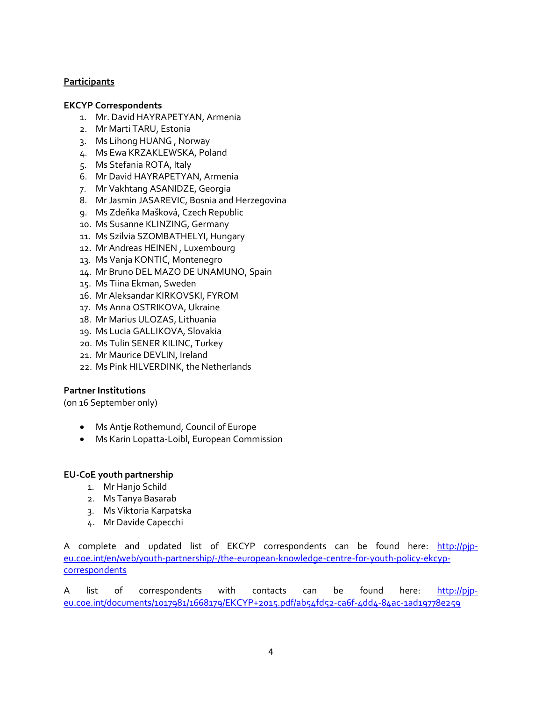## **Participants**

#### **EKCYP Correspondents**

- 1. Mr. David HAYRAPETYAN, Armenia
- 2. Mr Marti TARU, Estonia
- 3. Ms Lihong HUANG , Norway
- 4. Ms Ewa KRZAKLEWSKA, Poland
- 5. Ms Stefania ROTA, Italy
- 6. Mr David HAYRAPETYAN, Armenia
- 7. Mr Vakhtang ASANIDZE, Georgia
- 8. Mr Jasmin JASAREVIC, Bosnia and Herzegovina
- 9. Ms Zdeňka Mašková, Czech Republic
- 10. Ms Susanne KLINZING, Germany
- 11. Ms Szilvia SZOMBATHELYI, Hungary
- 12. Mr Andreas HEINEN , Luxembourg
- 13. Ms Vanja KONTIĆ, Montenegro
- 14. Mr Bruno DEL MAZO DE UNAMUNO, Spain
- 15. Ms Tiina Ekman, Sweden
- 16. Mr Aleksandar KIRKOVSKI, FYROM
- 17. Ms Anna OSTRIKOVA, Ukraine
- 18. Mr Marius ULOZAS, Lithuania
- 19. Ms Lucia GALLIKOVA, Slovakia
- 20. Ms Tulin SENER KILINC, Turkey
- 21. Mr Maurice DEVLIN, Ireland
- 22. Ms Pink HILVERDINK, the Netherlands

#### **Partner Institutions**

(on 16 September only)

- Ms Antje Rothemund, Council of Europe
- Ms Karin Lopatta-Loibl, European Commission

#### **EU-CoE youth partnership**

- 1. Mr Hanjo Schild
- 2. Ms Tanya Basarab
- 3. Ms Viktoria Karpatska
- 4. Mr Davide Capecchi

A complete and updated list of EKCYP correspondents can be found here: http://pip[eu.coe.int/en/web/youth-partnership/-/the-european-knowledge-centre-for-youth-policy-ekcyp](http://pjp-eu.coe.int/en/web/youth-partnership/-/the-european-knowledge-centre-for-youth-policy-ekcyp-correspondents)[correspondents](http://pjp-eu.coe.int/en/web/youth-partnership/-/the-european-knowledge-centre-for-youth-policy-ekcyp-correspondents)

A list of correspondents with contacts can be found here: [http://pjp](http://pjp-eu.coe.int/documents/1017981/1668179/EKCYP+2015.pdf/ab54fd52-ca6f-4dd4-84ac-1ad19778e259)[eu.coe.int/documents/1017981/1668179/EKCYP+2015.pdf/ab54fd52-ca6f-4dd4-84ac-1ad19778e259](http://pjp-eu.coe.int/documents/1017981/1668179/EKCYP+2015.pdf/ab54fd52-ca6f-4dd4-84ac-1ad19778e259)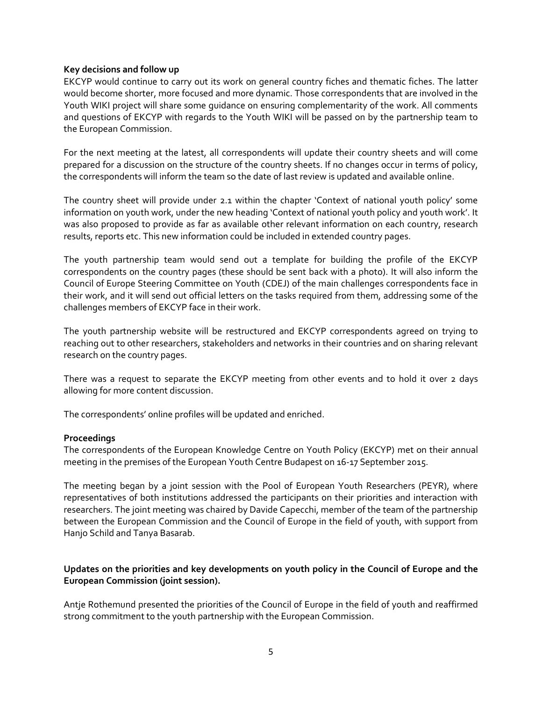#### **Key decisions and follow up**

EKCYP would continue to carry out its work on general country fiches and thematic fiches. The latter would become shorter, more focused and more dynamic. Those correspondents that are involved in the Youth WIKI project will share some guidance on ensuring complementarity of the work. All comments and questions of EKCYP with regards to the Youth WIKI will be passed on by the partnership team to the European Commission.

For the next meeting at the latest, all correspondents will update their country sheets and will come prepared for a discussion on the structure of the country sheets. If no changes occur in terms of policy, the correspondents will inform the team so the date of last review is updated and available online.

The country sheet will provide under 2.1 within the chapter 'Context of national youth policy' some information on youth work, under the new heading 'Context of national youth policy and youth work'. It was also proposed to provide as far as available other relevant information on each country, research results, reports etc. This new information could be included in extended country pages.

The youth partnership team would send out a template for building the profile of the EKCYP correspondents on the country pages (these should be sent back with a photo). It will also inform the Council 0f Europe Steering Committee on Youth (CDEJ) of the main challenges correspondents face in their work, and it will send out official letters on the tasks required from them, addressing some of the challenges members of EKCYP face in their work.

The youth partnership website will be restructured and EKCYP correspondents agreed on trying to reaching out to other researchers, stakeholders and networks in their countries and on sharing relevant research on the country pages.

There was a request to separate the EKCYP meeting from other events and to hold it over 2 days allowing for more content discussion.

The correspondents' online profiles will be updated and enriched.

#### **Proceedings**

The correspondents of the European Knowledge Centre on Youth Policy (EKCYP) met on their annual meeting in the premises of the European Youth Centre Budapest on 16-17 September 2015.

The meeting began by a joint session with the Pool of European Youth Researchers (PEYR), where representatives of both institutions addressed the participants on their priorities and interaction with researchers. The joint meeting was chaired by Davide Capecchi, member of the team of the partnership between the European Commission and the Council of Europe in the field of youth, with support from Hanjo Schild and Tanya Basarab.

## **Updates on the priorities and key developments on youth policy in the Council of Europe and the European Commission (joint session).**

Antje Rothemund presented the priorities of the Council of Europe in the field of youth and reaffirmed strong commitment to the youth partnership with the European Commission.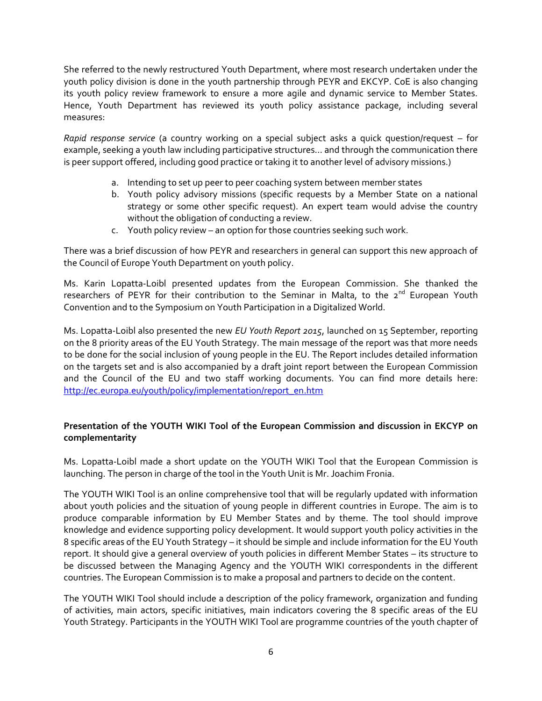She referred to the newly restructured Youth Department, where most research undertaken under the youth policy division is done in the youth partnership through PEYR and EKCYP. CoE is also changing its youth policy review framework to ensure a more agile and dynamic service to Member States. Hence, Youth Department has reviewed its youth policy assistance package, including several measures:

*Rapid response service* (a country working on a special subject asks a quick question/request – for example, seeking a youth law including participative structures… and through the communication there is peer support offered, including good practice or taking it to another level of advisory missions.)

- a. Intending to set up peer to peer coaching system between member states
- b. Youth policy advisory missions (specific requests by a Member State on a national strategy or some other specific request). An expert team would advise the country without the obligation of conducting a review.
- c. Youth policy review an option for those countries seeking such work.

There was a brief discussion of how PEYR and researchers in general can support this new approach of the Council of Europe Youth Department on youth policy.

Ms. Karin Lopatta-Loibl presented updates from the European Commission. She thanked the researchers of PEYR for their contribution to the Seminar in Malta, to the  $2^{nd}$  European Youth Convention and to the Symposium on Youth Participation in a Digitalized World.

Ms. Lopatta-Loibl also presented the new *EU Youth Report 2015*, launched on 15 September, reporting on the 8 priority areas of the EU Youth Strategy. The main message of the report was that more needs to be done for the social inclusion of young people in the EU. The Report includes detailed information on the targets set and is also accompanied by a draft joint report between the European Commission and the Council of the EU and two staff working documents. You can find more details here: [http://ec.europa.eu/youth/policy/implementation/report\\_en.htm](http://ec.europa.eu/youth/policy/implementation/report_en.htm)

## **Presentation of the YOUTH WIKI Tool of the European Commission and discussion in EKCYP on complementarity**

Ms. Lopatta-Loibl made a short update on the YOUTH WIKI Tool that the European Commission is launching. The person in charge of the tool in the Youth Unit is Mr. Joachim Fronia.

The YOUTH WIKI Tool is an online comprehensive tool that will be regularly updated with information about youth policies and the situation of young people in different countries in Europe. The aim is to produce comparable information by EU Member States and by theme. The tool should improve knowledge and evidence supporting policy development. It would support youth policy activities in the 8 specific areas of the EU Youth Strategy – it should be simple and include information for the EU Youth report. It should give a general overview of youth policies in different Member States – its structure to be discussed between the Managing Agency and the YOUTH WIKI correspondents in the different countries. The European Commission is to make a proposal and partners to decide on the content.

The YOUTH WIKI Tool should include a description of the policy framework, organization and funding of activities, main actors, specific initiatives, main indicators covering the 8 specific areas of the EU Youth Strategy. Participants in the YOUTH WIKI Tool are programme countries of the youth chapter of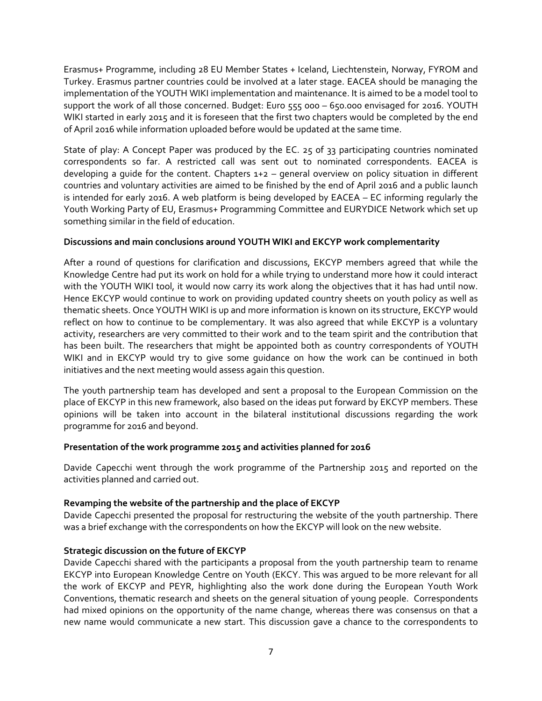Erasmus+ Programme, including 28 EU Member States + Iceland, Liechtenstein, Norway, FYROM and Turkey. Erasmus partner countries could be involved at a later stage. EACEA should be managing the implementation of the YOUTH WIKI implementation and maintenance. It is aimed to be a model tool to support the work of all those concerned. Budget: Euro 555 000 – 650.000 envisaged for 2016. YOUTH WIKI started in early 2015 and it is foreseen that the first two chapters would be completed by the end of April 2016 while information uploaded before would be updated at the same time.

State of play: A Concept Paper was produced by the EC. 25 of 33 participating countries nominated correspondents so far. A restricted call was sent out to nominated correspondents. EACEA is developing a guide for the content. Chapters 1+2 – general overview on policy situation in different countries and voluntary activities are aimed to be finished by the end of April 2016 and a public launch is intended for early 2016. A web platform is being developed by EACEA – EC informing regularly the Youth Working Party of EU, Erasmus+ Programming Committee and EURYDICE Network which set up something similar in the field of education.

#### **Discussions and main conclusions around YOUTH WIKI and EKCYP work complementarity**

After a round of questions for clarification and discussions, EKCYP members agreed that while the Knowledge Centre had put its work on hold for a while trying to understand more how it could interact with the YOUTH WIKI tool, it would now carry its work along the objectives that it has had until now. Hence EKCYP would continue to work on providing updated country sheets on youth policy as well as thematic sheets. Once YOUTH WIKI is up and more information is known on its structure, EKCYP would reflect on how to continue to be complementary. It was also agreed that while EKCYP is a voluntary activity, researchers are very committed to their work and to the team spirit and the contribution that has been built. The researchers that might be appointed both as country correspondents of YOUTH WIKI and in EKCYP would try to give some guidance on how the work can be continued in both initiatives and the next meeting would assess again this question.

The youth partnership team has developed and sent a proposal to the European Commission on the place of EKCYP in this new framework, also based on the ideas put forward by EKCYP members. These opinions will be taken into account in the bilateral institutional discussions regarding the work programme for 2016 and beyond.

#### **Presentation of the work programme 2015 and activities planned for 2016**

Davide Capecchi went through the work programme of the Partnership 2015 and reported on the activities planned and carried out.

## **Revamping the website of the partnership and the place of EKCYP**

Davide Capecchi presented the proposal for restructuring the website of the youth partnership. There was a brief exchange with the correspondents on how the EKCYP will look on the new website.

#### **Strategic discussion on the future of EKCYP**

Davide Capecchi shared with the participants a proposal from the youth partnership team to rename EKCYP into European Knowledge Centre on Youth (EKCY. This was argued to be more relevant for all the work of EKCYP and PEYR, highlighting also the work done during the European Youth Work Conventions, thematic research and sheets on the general situation of young people. Correspondents had mixed opinions on the opportunity of the name change, whereas there was consensus on that a new name would communicate a new start. This discussion gave a chance to the correspondents to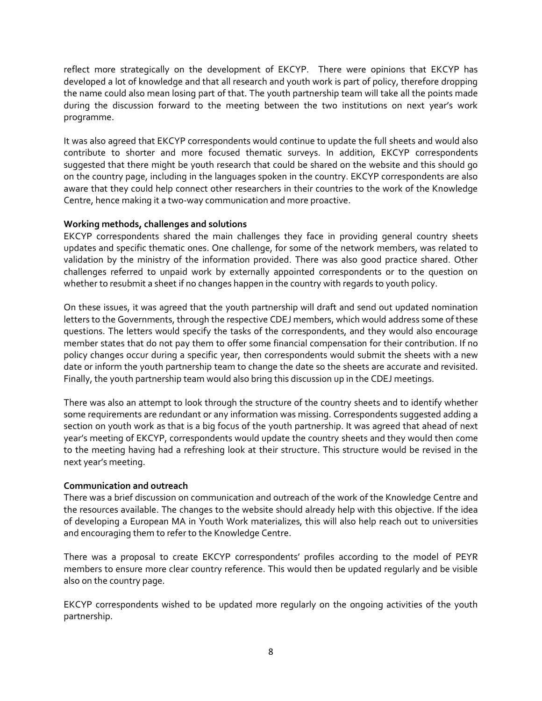reflect more strategically on the development of EKCYP. There were opinions that EKCYP has developed a lot of knowledge and that all research and youth work is part of policy, therefore dropping the name could also mean losing part of that. The youth partnership team will take all the points made during the discussion forward to the meeting between the two institutions on next year's work programme.

It was also agreed that EKCYP correspondents would continue to update the full sheets and would also contribute to shorter and more focused thematic surveys. In addition, EKCYP correspondents suggested that there might be youth research that could be shared on the website and this should go on the country page, including in the languages spoken in the country. EKCYP correspondents are also aware that they could help connect other researchers in their countries to the work of the Knowledge Centre, hence making it a two-way communication and more proactive.

## **Working methods, challenges and solutions**

EKCYP correspondents shared the main challenges they face in providing general country sheets updates and specific thematic ones. One challenge, for some of the network members, was related to validation by the ministry of the information provided. There was also good practice shared. Other challenges referred to unpaid work by externally appointed correspondents or to the question on whether to resubmit a sheet if no changes happen in the country with regards to youth policy.

On these issues, it was agreed that the youth partnership will draft and send out updated nomination letters to the Governments, through the respective CDEJ members, which would address some of these questions. The letters would specify the tasks of the correspondents, and they would also encourage member states that do not pay them to offer some financial compensation for their contribution. If no policy changes occur during a specific year, then correspondents would submit the sheets with a new date or inform the youth partnership team to change the date so the sheets are accurate and revisited. Finally, the youth partnership team would also bring this discussion up in the CDEJ meetings.

There was also an attempt to look through the structure of the country sheets and to identify whether some requirements are redundant or any information was missing. Correspondents suggested adding a section on youth work as that is a big focus of the youth partnership. It was agreed that ahead of next year's meeting of EKCYP, correspondents would update the country sheets and they would then come to the meeting having had a refreshing look at their structure. This structure would be revised in the next year's meeting.

#### **Communication and outreach**

There was a brief discussion on communication and outreach of the work of the Knowledge Centre and the resources available. The changes to the website should already help with this objective. If the idea of developing a European MA in Youth Work materializes, this will also help reach out to universities and encouraging them to refer to the Knowledge Centre.

There was a proposal to create EKCYP correspondents' profiles according to the model of PEYR members to ensure more clear country reference. This would then be updated regularly and be visible also on the country page.

EKCYP correspondents wished to be updated more regularly on the ongoing activities of the youth partnership.